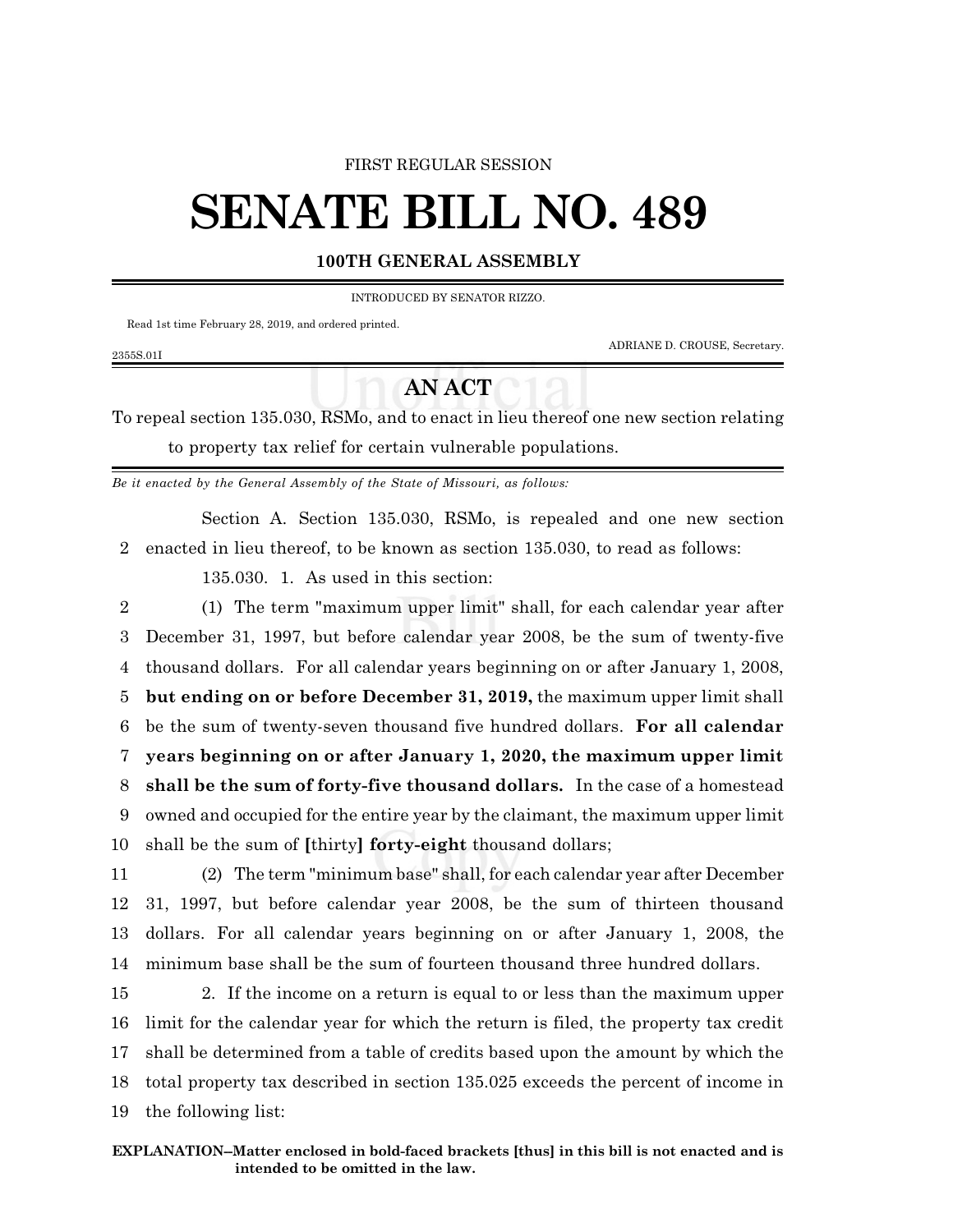### FIRST REGULAR SESSION

# **SENATE BILL NO. 489**

## **100TH GENERAL ASSEMBLY**

#### INTRODUCED BY SENATOR RIZZO.

Read 1st time February 28, 2019, and ordered printed.

2355S.01I

ADRIANE D. CROUSE, Secretary.

# **AN ACT**

To repeal section 135.030, RSMo, and to enact in lieu thereof one new section relating to property tax relief for certain vulnerable populations.

*Be it enacted by the General Assembly of the State of Missouri, as follows:*

Section A. Section 135.030, RSMo, is repealed and one new section 2 enacted in lieu thereof, to be known as section 135.030, to read as follows:

135.030. 1. As used in this section:

 (1) The term "maximum upper limit" shall, for each calendar year after December 31, 1997, but before calendar year 2008, be the sum of twenty-five thousand dollars. For all calendar years beginning on or after January 1, 2008, **but ending on or before December 31, 2019,** the maximum upper limit shall be the sum of twenty-seven thousand five hundred dollars. **For all calendar years beginning on or after January 1, 2020, the maximum upper limit shall be the sum of forty-five thousand dollars.** In the case of a homestead owned and occupied for the entire year by the claimant, the maximum upper limit shall be the sum of **[**thirty**] forty-eight** thousand dollars;

 (2) The term "minimum base" shall, for each calendar year after December 31, 1997, but before calendar year 2008, be the sum of thirteen thousand dollars. For all calendar years beginning on or after January 1, 2008, the minimum base shall be the sum of fourteen thousand three hundred dollars.

 2. If the income on a return is equal to or less than the maximum upper limit for the calendar year for which the return is filed, the property tax credit shall be determined from a table of credits based upon the amount by which the total property tax described in section 135.025 exceeds the percent of income in the following list: